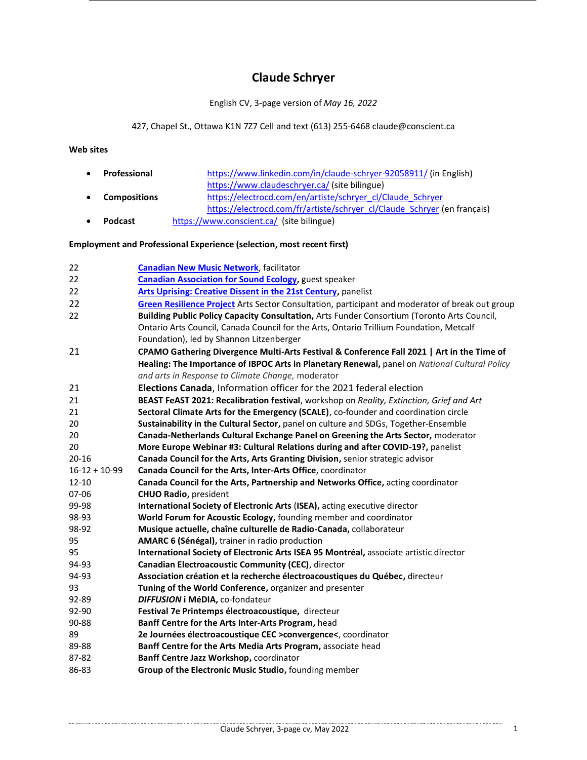# **Claude Schryer**

#### English CV, 3-page version of *May 16, 2022*

## 427, Chapel St., Ottawa K1N 7Z7 Cell and text (613) 255-646[8 claude@conscient.ca](mailto:claude@conscient.ca)

### **Web sites**

| $\bullet$ | Professional        | https://www.linkedin.com/in/claude-schryer-92058911/ (in English)        |
|-----------|---------------------|--------------------------------------------------------------------------|
|           |                     | https://www.claudeschryer.ca/ (site bilingue)                            |
| $\bullet$ | <b>Compositions</b> | https://electrocd.com/en/artiste/schryer_cl/Claude_Schryer               |
|           |                     | https://electrocd.com/fr/artiste/schryer_cl/Claude_Schryer (en français) |
| $\bullet$ | <b>Podcast</b>      | https://www.conscient.ca/ (site bilingue)                                |

#### **Employment and Professional Experience (selection, most recent first)**

| 22              | <b>Canadian New Music Network</b> , facilitator                                                 |
|-----------------|-------------------------------------------------------------------------------------------------|
| 22              | <b>Canadian Association for Sound Ecology</b> , guest speaker                                   |
| 22              | Arts Uprising: Creative Dissent in the 21st Century, panelist                                   |
| 22              | Green Resilience Project Arts Sector Consultation, participant and moderator of break out group |
| 22              | Building Public Policy Capacity Consultation, Arts Funder Consortium (Toronto Arts Council,     |
|                 | Ontario Arts Council, Canada Council for the Arts, Ontario Trillium Foundation, Metcalf         |
|                 | Foundation), led by Shannon Litzenberger                                                        |
| 21              | CPAMO Gathering Divergence Multi-Arts Festival & Conference Fall 2021   Art in the Time of      |
|                 | Healing: The Importance of IBPOC Arts in Planetary Renewal, panel on National Cultural Policy   |
|                 | and arts in Response to Climate Change, moderator                                               |
| 21              | Elections Canada, Information officer for the 2021 federal election                             |
| 21              | BEAST FeAST 2021: Recalibration festival, workshop on Reality, Extinction, Grief and Art        |
| 21              | Sectoral Climate Arts for the Emergency (SCALE), co-founder and coordination circle             |
| 20              | Sustainability in the Cultural Sector, panel on culture and SDGs, Together-Ensemble             |
| 20              | Canada-Netherlands Cultural Exchange Panel on Greening the Arts Sector, moderator               |
| 20              | More Europe Webinar #3: Cultural Relations during and after COVID-19?, panelist                 |
| $20 - 16$       | Canada Council for the Arts, Arts Granting Division, senior strategic advisor                   |
| $16-12 + 10-99$ | Canada Council for the Arts, Inter-Arts Office, coordinator                                     |
| $12 - 10$       | Canada Council for the Arts, Partnership and Networks Office, acting coordinator                |
| 07-06           | <b>CHUO Radio, president</b>                                                                    |
| 99-98           | International Society of Electronic Arts (ISEA), acting executive director                      |
| 98-93           | World Forum for Acoustic Ecology, founding member and coordinator                               |
| 98-92           | Musique actuelle, chaîne culturelle de Radio-Canada, collaborateur                              |
| 95              | AMARC 6 (Sénégal), trainer in radio production                                                  |
| 95              | International Society of Electronic Arts ISEA 95 Montréal, associate artistic director          |
| 94-93           | Canadian Electroacoustic Community (CEC), director                                              |
| 94-93           | Association création et la recherche électroacoustiques du Québec, directeur                    |
| 93              | Tuning of the World Conference, organizer and presenter                                         |
| 92-89           | DIFFUSION i MéDIA, co-fondateur                                                                 |
| 92-90           | Festival 7e Printemps électroacoustique, directeur                                              |
| 90-88           | Banff Centre for the Arts Inter-Arts Program, head                                              |
| 89              | 2e Journées électroacoustique CEC >convergence<, coordinator                                    |
| 89-88           | Banff Centre for the Arts Media Arts Program, associate head                                    |
| 87-82           | Banff Centre Jazz Workshop, coordinator                                                         |
| 86-83           | Group of the Electronic Music Studio, founding member                                           |
|                 |                                                                                                 |